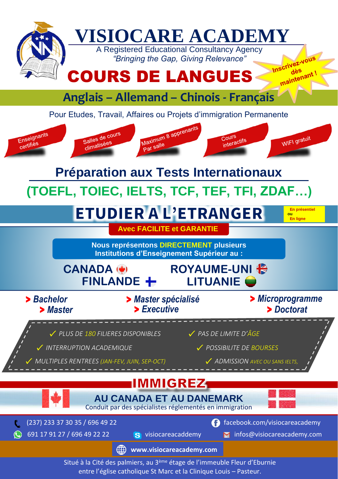